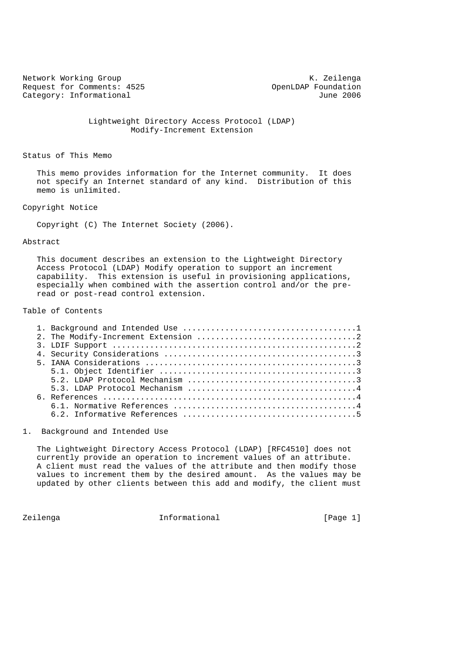Network Working Group Network Working Group Request for Comments: 4525 OpenLDAP Foundation<br>Category: Informational due of the Category: Informational due Category: Informational

 Lightweight Directory Access Protocol (LDAP) Modify-Increment Extension

Status of This Memo

 This memo provides information for the Internet community. It does not specify an Internet standard of any kind. Distribution of this memo is unlimited.

Copyright Notice

Copyright (C) The Internet Society (2006).

# Abstract

 This document describes an extension to the Lightweight Directory Access Protocol (LDAP) Modify operation to support an increment capability. This extension is useful in provisioning applications, especially when combined with the assertion control and/or the pre read or post-read control extension.

Table of Contents

1. Background and Intended Use

 The Lightweight Directory Access Protocol (LDAP) [RFC4510] does not currently provide an operation to increment values of an attribute. A client must read the values of the attribute and then modify those values to increment them by the desired amount. As the values may be updated by other clients between this add and modify, the client must

Zeilenga **Informational** Informational [Page 1]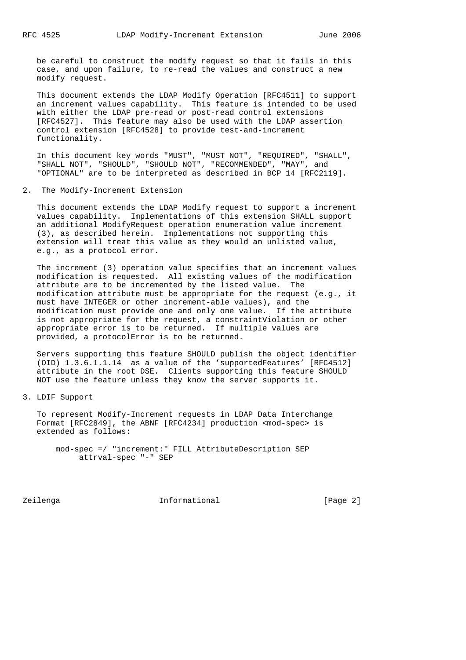be careful to construct the modify request so that it fails in this case, and upon failure, to re-read the values and construct a new modify request.

 This document extends the LDAP Modify Operation [RFC4511] to support an increment values capability. This feature is intended to be used with either the LDAP pre-read or post-read control extensions [RFC4527]. This feature may also be used with the LDAP assertion control extension [RFC4528] to provide test-and-increment functionality.

 In this document key words "MUST", "MUST NOT", "REQUIRED", "SHALL", "SHALL NOT", "SHOULD", "SHOULD NOT", "RECOMMENDED", "MAY", and "OPTIONAL" are to be interpreted as described in BCP 14 [RFC2119].

2. The Modify-Increment Extension

 This document extends the LDAP Modify request to support a increment values capability. Implementations of this extension SHALL support an additional ModifyRequest operation enumeration value increment (3), as described herein. Implementations not supporting this extension will treat this value as they would an unlisted value, e.g., as a protocol error.

 The increment (3) operation value specifies that an increment values modification is requested. All existing values of the modification attribute are to be incremented by the listed value. The modification attribute must be appropriate for the request (e.g., it must have INTEGER or other increment-able values), and the modification must provide one and only one value. If the attribute is not appropriate for the request, a constraintViolation or other appropriate error is to be returned. If multiple values are provided, a protocolError is to be returned.

 Servers supporting this feature SHOULD publish the object identifier (OID) 1.3.6.1.1.14 as a value of the 'supportedFeatures' [RFC4512] attribute in the root DSE. Clients supporting this feature SHOULD NOT use the feature unless they know the server supports it.

3. LDIF Support

 To represent Modify-Increment requests in LDAP Data Interchange Format [RFC2849], the ABNF [RFC4234] production <mod-spec> is extended as follows:

 mod-spec =/ "increment:" FILL AttributeDescription SEP attrval-spec "-" SEP

Zeilenga Informational [Page 2]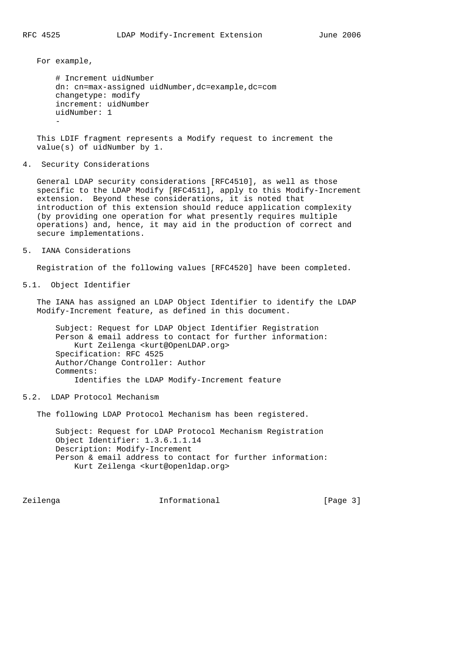For example,

```
 # Increment uidNumber
        dn: cn=max-assigned uidNumber,dc=example,dc=com
        changetype: modify
        increment: uidNumber
        uidNumber: 1
- 100 minutes
```
 This LDIF fragment represents a Modify request to increment the value(s) of uidNumber by 1.

4. Security Considerations

 General LDAP security considerations [RFC4510], as well as those specific to the LDAP Modify [RFC4511], apply to this Modify-Increment extension. Beyond these considerations, it is noted that introduction of this extension should reduce application complexity (by providing one operation for what presently requires multiple operations) and, hence, it may aid in the production of correct and secure implementations.

5. IANA Considerations

Registration of the following values [RFC4520] have been completed.

5.1. Object Identifier

 The IANA has assigned an LDAP Object Identifier to identify the LDAP Modify-Increment feature, as defined in this document.

 Subject: Request for LDAP Object Identifier Registration Person & email address to contact for further information: Kurt Zeilenga <kurt@OpenLDAP.org> Specification: RFC 4525 Author/Change Controller: Author Comments: Identifies the LDAP Modify-Increment feature

### 5.2. LDAP Protocol Mechanism

The following LDAP Protocol Mechanism has been registered.

 Subject: Request for LDAP Protocol Mechanism Registration Object Identifier: 1.3.6.1.1.14 Description: Modify-Increment Person & email address to contact for further information: Kurt Zeilenga <kurt@openldap.org>

Zeilenga **Informational** Informational [Page 3]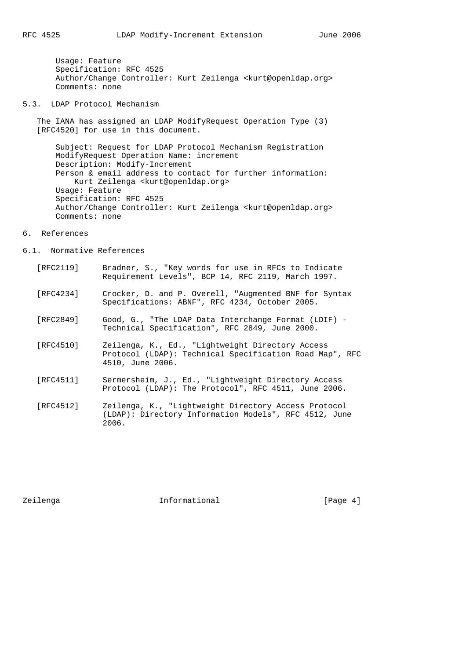Usage: Feature Specification: RFC 4525 Author/Change Controller: Kurt Zeilenga <kurt@openldap.org> Comments: none

5.3. LDAP Protocol Mechanism

 The IANA has assigned an LDAP ModifyRequest Operation Type (3) [RFC4520] for use in this document.

 Subject: Request for LDAP Protocol Mechanism Registration ModifyRequest Operation Name: increment Description: Modify-Increment Person & email address to contact for further information: Kurt Zeilenga <kurt@openldap.org> Usage: Feature Specification: RFC 4525 Author/Change Controller: Kurt Zeilenga <kurt@openldap.org> Comments: none

#### 6. References

# 6.1. Normative References

- [RFC2119] Bradner, S., "Key words for use in RFCs to Indicate Requirement Levels", BCP 14, RFC 2119, March 1997.
- [RFC4234] Crocker, D. and P. Overell, "Augmented BNF for Syntax Specifications: ABNF", RFC 4234, October 2005.
- [RFC2849] Good, G., "The LDAP Data Interchange Format (LDIF) Technical Specification", RFC 2849, June 2000.
- [RFC4510] Zeilenga, K., Ed., "Lightweight Directory Access Protocol (LDAP): Technical Specification Road Map", RFC 4510, June 2006.
- [RFC4511] Sermersheim, J., Ed., "Lightweight Directory Access Protocol (LDAP): The Protocol", RFC 4511, June 2006.
- [RFC4512] Zeilenga, K., "Lightweight Directory Access Protocol (LDAP): Directory Information Models", RFC 4512, June 2006.

Zeilenga Informational [Page 4]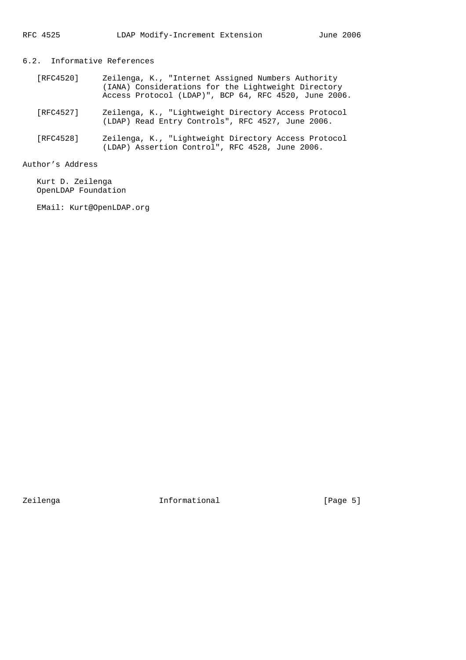# 6.2. Informative References

- [RFC4520] Zeilenga, K., "Internet Assigned Numbers Authority (IANA) Considerations for the Lightweight Directory Access Protocol (LDAP)", BCP 64, RFC 4520, June 2006.
- [RFC4527] Zeilenga, K., "Lightweight Directory Access Protocol (LDAP) Read Entry Controls", RFC 4527, June 2006.
- [RFC4528] Zeilenga, K., "Lightweight Directory Access Protocol (LDAP) Assertion Control", RFC 4528, June 2006.

# Author's Address

 Kurt D. Zeilenga OpenLDAP Foundation

EMail: Kurt@OpenLDAP.org

Zeilenga 1nformational 1999 [Page 5]